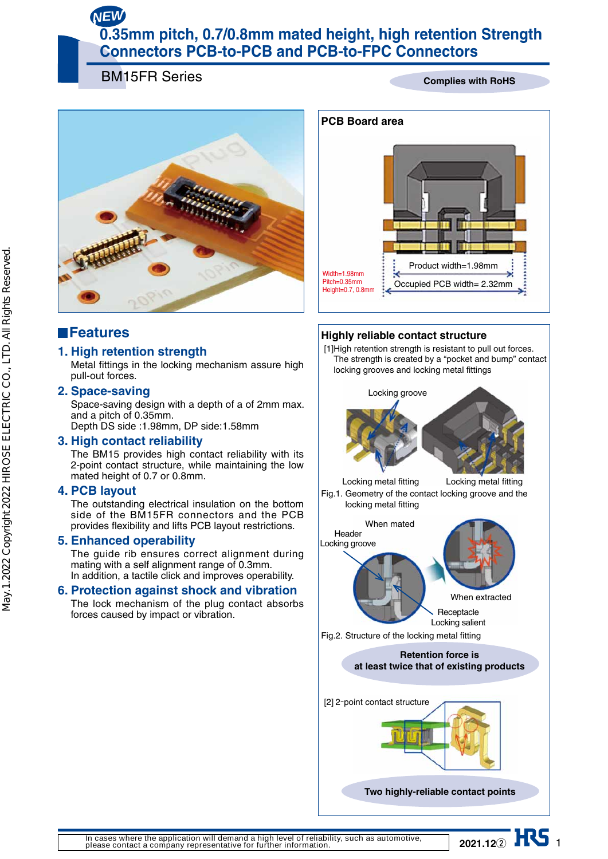# *NEW*

# **0.35mm pitch, 0.7/0.8mm mated height, high retention Strength Connectors PCB-to-PCB and PCB-to-FPC Connectors**

BM15FR Series

#### **Complies with RoHS**



# **Features**

## **1. High retention strength**

Metal fittings in the locking mechanism assure high pull-out forces.

#### **2. Space-saving**

Space-saving design with a depth of a of 2mm max. and a pitch of 0.35mm. Depth DS side :1.98mm, DP side:1.58mm

#### **3. High contact reliability**

The BM15 provides high contact reliability with its 2-point contact structure, while maintaining the low mated height of 0.7 or 0.8mm.

#### **4. PCB layout**

The outstanding electrical insulation on the bottom side of the BM15FR connectors and the PCB provides flexibility and lifts PCB layout restrictions.

### **5. Enhanced operability**

The guide rib ensures correct alignment during mating with a self alignment range of 0.3mm. In addition, a tactile click and improves operability.

### **6. Protection against shock and vibration**

The lock mechanism of the plug contact absorbs forces caused by impact or vibration.



## **Highly reliable contact structure**

[1] High retention strength is resistant to pull out forces. The strength is created by a "pocket and bump" contact locking grooves and locking metal fittings



**In cases where the application will demand a high level of reliability, such as automotive, please contact a company representative for further information.**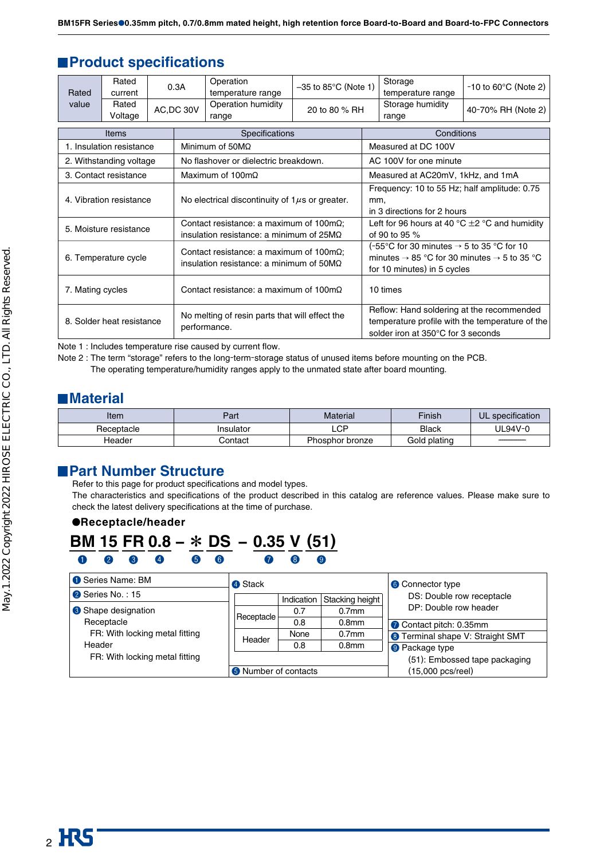## **Product specifications**

| Rated                     | Rated<br>current         |  | 0.3A       | Operation<br>temperature range                                                                             | $-35$ to 85 $\degree$ C (Note 1) |                                                                                                                                                             | Storage<br>temperature range                                                                                                       | $-10$ to 60 $\degree$ C (Note 2) |  |  |  |
|---------------------------|--------------------------|--|------------|------------------------------------------------------------------------------------------------------------|----------------------------------|-------------------------------------------------------------------------------------------------------------------------------------------------------------|------------------------------------------------------------------------------------------------------------------------------------|----------------------------------|--|--|--|
| value                     | Rated<br>Voltage         |  | AC, DC 30V | Operation humidity<br>range                                                                                | 20 to 80 % RH                    |                                                                                                                                                             | Storage humidity<br>range                                                                                                          | 40-70% RH (Note 2)               |  |  |  |
|                           | Items                    |  |            | Specifications                                                                                             |                                  | Conditions                                                                                                                                                  |                                                                                                                                    |                                  |  |  |  |
|                           | 1. Insulation resistance |  |            | Minimum of $50M\Omega$                                                                                     |                                  |                                                                                                                                                             | Measured at DC 100V                                                                                                                |                                  |  |  |  |
|                           | 2. Withstanding voltage  |  |            | No flashover or dielectric breakdown.                                                                      |                                  |                                                                                                                                                             | AC 100V for one minute                                                                                                             |                                  |  |  |  |
|                           | 3. Contact resistance    |  |            | Maximum of 100m $\Omega$                                                                                   |                                  |                                                                                                                                                             | Measured at AC20mV, 1kHz, and 1mA                                                                                                  |                                  |  |  |  |
| 4. Vibration resistance   |                          |  |            | No electrical discontinuity of $1\mu s$ or greater.                                                        |                                  |                                                                                                                                                             | Frequency: 10 to 55 Hz; half amplitude: 0.75<br>mm,<br>in 3 directions for 2 hours                                                 |                                  |  |  |  |
| 5. Moisture resistance    |                          |  |            | Contact resistance: a maximum of $100 \text{m}\Omega$ ;<br>insulation resistance: a minimum of $25M\Omega$ |                                  | Left for 96 hours at 40 °C $\pm$ 2 °C and humidity<br>of 90 to 95 $%$                                                                                       |                                                                                                                                    |                                  |  |  |  |
| 6. Temperature cycle      |                          |  |            | Contact resistance: a maximum of $100 \text{m}\Omega$ ;<br>insulation resistance: a minimum of $50M\Omega$ |                                  | (-55°C for 30 minutes $\rightarrow$ 5 to 35 °C for 10<br>minutes $\rightarrow$ 85 °C for 30 minutes $\rightarrow$ 5 to 35 °C<br>for 10 minutes) in 5 cycles |                                                                                                                                    |                                  |  |  |  |
| 7. Mating cycles          |                          |  |            | Contact resistance: a maximum of $100 \text{m}\Omega$                                                      | 10 times                         |                                                                                                                                                             |                                                                                                                                    |                                  |  |  |  |
| 8. Solder heat resistance |                          |  |            | No melting of resin parts that will effect the<br>performance.                                             |                                  |                                                                                                                                                             | Reflow: Hand soldering at the recommended<br>temperature profile with the temperature of the<br>solder iron at 350°C for 3 seconds |                                  |  |  |  |

Note 1 : Includes temperature rise caused by current flow.

Note 2 : The term "storage" refers to the long-term-storage status of unused items before mounting on the PCB. The operating temperature/humidity ranges apply to the unmated state after board mounting.

## **Material**

| ltem       | Part      | <b>Material</b> | <b>Finish</b>   | UL specification |  |
|------------|-----------|-----------------|-----------------|------------------|--|
| Receptacle | Insulator | LCP.            | <b>Black</b>    | JL94V-0          |  |
| Header     | Contact   | Phosphor bronze | plating<br>Gold |                  |  |

## **Part Number Structure**

Refer to this page for product specifications and model types.

The characteristics and specifications of the product described in this catalog are reference values. Please make sure to check the latest delivery specifications at the time of purchase.

#### **Receptacle/header**



| Series Name: BM                | 4 Stack                       |      |                   | <b>6</b> Connector type<br>DS: Double row receptacle |  |  |
|--------------------------------|-------------------------------|------|-------------------|------------------------------------------------------|--|--|
| <sup>2</sup> Series No.: 15    | Stacking height<br>Indication |      |                   |                                                      |  |  |
| <b>8</b> Shape designation     | Receptacle                    | 0.7  | 0.7 <sub>mm</sub> | DP: Double row header                                |  |  |
| Receptacle                     |                               | 0.8  | 0.8 <sub>mm</sub> | Contact pitch: 0.35mm                                |  |  |
| FR: With locking metal fitting | Header                        | None | 0.7 <sub>mm</sub> | <b>8</b> Terminal shape V: Straight SMT              |  |  |
| Header                         |                               | 0.8  | 0.8 <sub>mm</sub> | <b>O</b> Package type                                |  |  |
| FR: With locking metal fitting |                               |      |                   | (51): Embossed tape packaging                        |  |  |
|                                | <b>O</b> Number of contacts   |      |                   | (15,000 pcs/reel)                                    |  |  |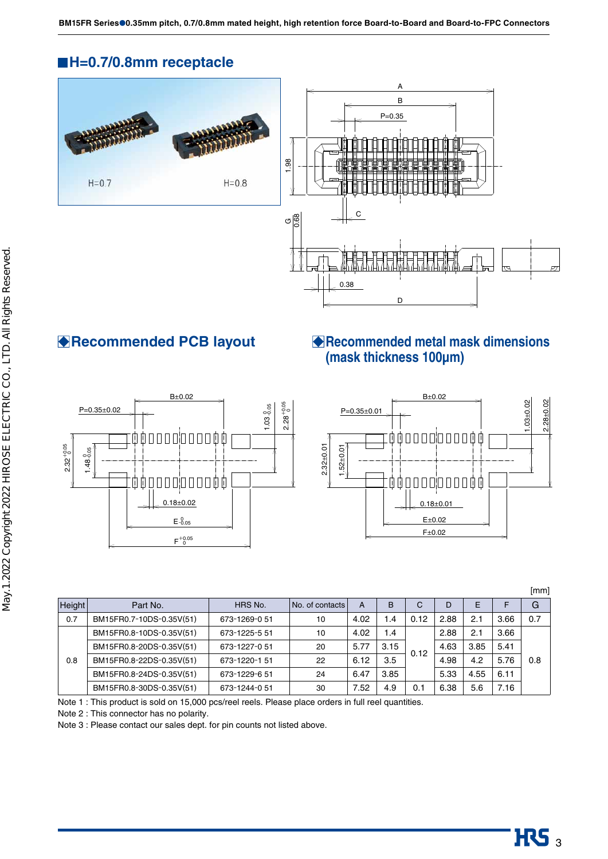# **H=0.7/0.8mm receptacle**



## **Examplement Recommended PCB layout** ■ Recommended metal mask dimensions **(mask thickness 100µm)**





[mm]

| <b>Height</b> | Part No.                 | HRS No.       | No. of contacts | A    | B    | ⌒<br>◡ | D    | F    |      | G   |
|---------------|--------------------------|---------------|-----------------|------|------|--------|------|------|------|-----|
| 0.7           | BM15FR0.7-10DS-0.35V(51) | 673-1269-051  | 10              | 4.02 | 1.4  | 0.12   | 2.88 | 2.1  | 3.66 | 0.7 |
|               | BM15FR0.8-10DS-0.35V(51) | 673-1225-5 51 | 10              | 4.02 | 1.4  |        | 2.88 | 2.1  | 3.66 |     |
| 0.8           | BM15FR0.8-20DS-0.35V(51) | 673-1227-051  | 20              | 5.77 | 3.15 | 0.12   | 4.63 | 3.85 | 5.41 |     |
|               | BM15FR0.8-22DS-0.35V(51) | 673-1220-151  | 22              | 6.12 | 3.5  |        | 4.98 | 4.2  | 5.76 | 0.8 |
|               | BM15FR0.8-24DS-0.35V(51) | 673-1229-651  | 24              | 6.47 | 3.85 |        | 5.33 | 4.55 | 6.11 |     |
|               | BM15FR0.8-30DS-0.35V(51) | 673-1244-0 51 | 30              | 7.52 | 4.9  | 0.1    | 6.38 | 5.6  | 7.16 |     |

Note 1 : This product is sold on 15,000 pcs/reel reels. Please place orders in full reel quantities.

Note 2 : This connector has no polarity.

Note 3 : Please contact our sales dept. for pin counts not listed above.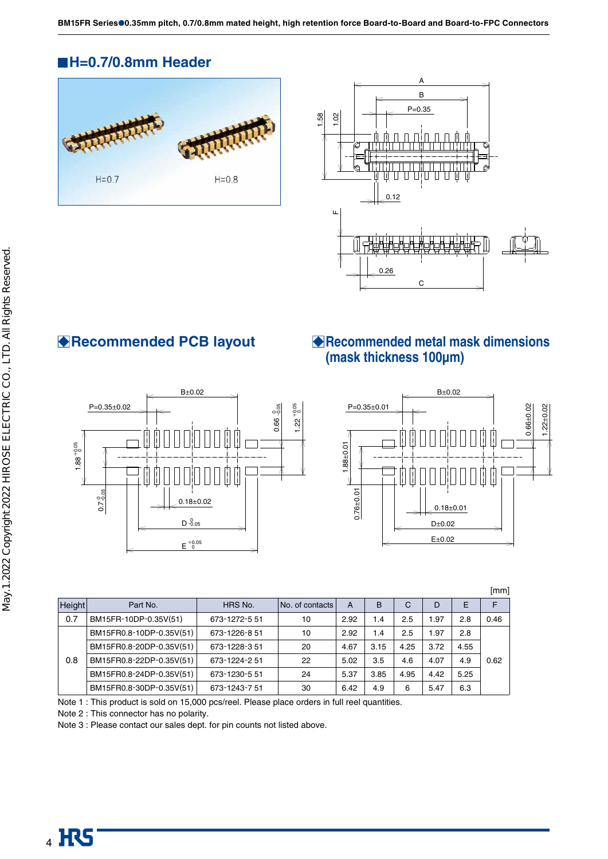**BM15FR Series**●**0.35mm pitch, 0.7/0.8mm mated height, high retention force Board-to-Board and Board-to-FPC Connectors**

# **H=0.7/0.8mm Header**







# **Recommended PCB layout Recommended metal mask dimensions (mask thickness 100µm)**



|        |                                                 |               |                 |      |      |      |      |      | [mm] |
|--------|-------------------------------------------------|---------------|-----------------|------|------|------|------|------|------|
| Height | Part No.                                        | HRS No.       | No. of contacts | A    | в    | C    | D    | E    | F    |
| 0.7    | BM15FR-10DP-0.35V(51)                           | 673-1272-5 51 | 10              | 2.92 | 1.4  | 2.5  | 1.97 | 2.8  | 0.46 |
|        | BM15FR0.8-10DP-0.35V(51)                        | 673-1226-851  | 10              | 2.92 | 1.4  | 2.5  | 1.97 | 2.8  |      |
|        | BM15FR0.8-20DP-0.35V(51)                        | 673-1228-351  | 20              | 4.67 | 3.15 | 4.25 | 3.72 | 4.55 |      |
| 0.8    | BM15FR0.8-22DP-0.35V(51)                        | 673-1224-2 51 | 22              | 5.02 | 3.5  | 4.6  | 4.07 | 4.9  | 0.62 |
|        | BM15FR0.8-24DP-0.35V(51)<br>24<br>673-1230-5 51 |               |                 | 5.37 | 3.85 | 4.95 | 4.42 | 5.25 |      |
|        | BM15FR0.8-30DP-0.35V(51)                        | 673-1243-751  | 30              | 6.42 | 4.9  | 6    | 5.47 | 6.3  |      |

Note 1 : This product is sold on 15,000 pcs/reel. Please place orders in full reel quantities.

Note 2 : This connector has no polarity.

Note 3 : Please contact our sales dept. for pin counts not listed above.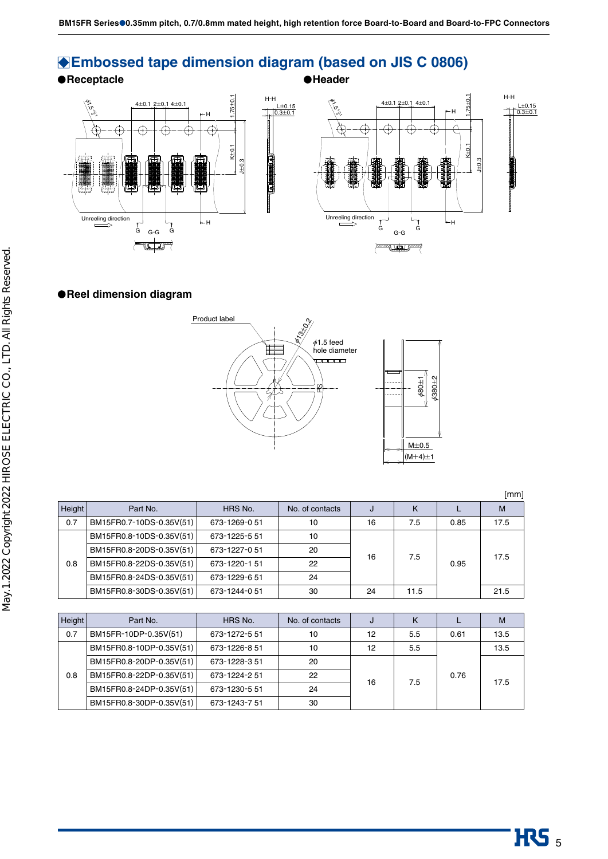# **Embossed tape dimension diagram (based on JIS C 0806)**

● Receptacle **Network in the Second Second Second Second Second Second Second Second Second Second Second Second Second Second Second Second Second Second Second Second Second Second Second Second Second Second Second Sec** 



#### **Reel dimension diagram**



[mm] Height Part No. | HRS No. | No. of contacts | J | K | L | M 0.7 BM15FR0.7-10DS-0.35V(51) 673-1269-0 51 10 10 16 7.5 0.85 17.5 0.8 BM15FR0.8-10DS-0.35V(51) 673-1225-5 51 10 16 7.5 0.95 17.5 BM15FR0.8-20DS-0.35V(51) 673-1227-0 51 20 BM15FR0.8-22DS-0.35V(51) 673-1220-1 51 22 BM15FR0.8-24DS-0.35V(51) 673-1229-6 51 24 BM15FR0.8-30DS-0.35V(51) 673-1244-0 51 30 24 11.5 21.5

| Height | Part No.                 | HRS No.       | No. of contacts | J  | κ   |      | М    |
|--------|--------------------------|---------------|-----------------|----|-----|------|------|
| 0.7    | BM15FR-10DP-0.35V(51)    | 673-1272-5 51 | 10              | 12 | 5.5 | 0.61 | 13.5 |
|        | BM15FR0.8-10DP-0.35V(51) | 673-1226-8 51 | 10              | 12 | 5.5 |      | 13.5 |
| 0.8    | BM15FR0.8-20DP-0.35V(51) | 673-1228-351  | 20              |    |     |      |      |
|        | BM15FR0.8-22DP-0.35V(51) | 673-1224-2 51 | 22              | 16 | 7.5 | 0.76 |      |
|        | BM15FR0.8-24DP-0.35V(51) | 673-1230-5 51 | 24              |    |     |      | 17.5 |
|        | BM15FR0.8-30DP-0.35V(51) | 673-1243-7 51 | 30              |    |     |      |      |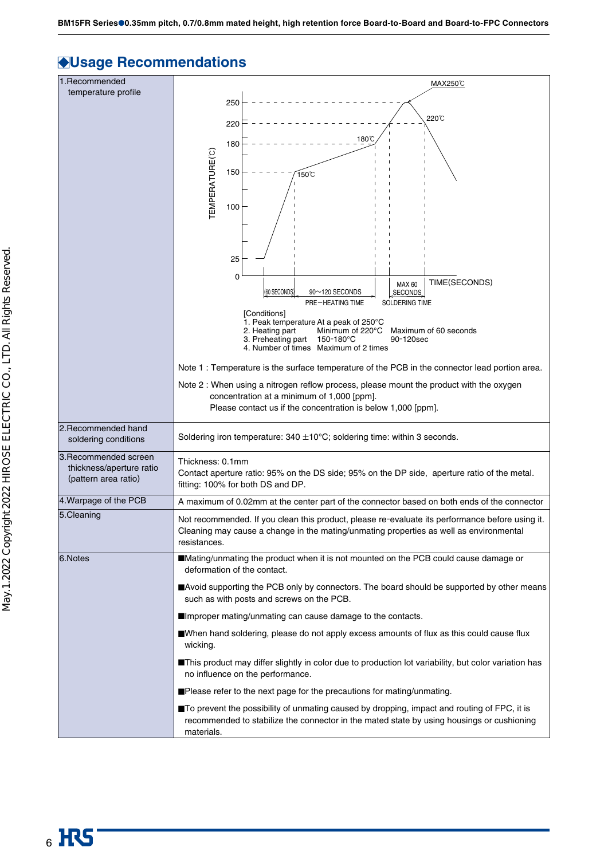# **Usage Recommendations**

| 1. Recommended                                   | MAX250℃                                                                                                                                   |  |  |  |  |  |
|--------------------------------------------------|-------------------------------------------------------------------------------------------------------------------------------------------|--|--|--|--|--|
| temperature profile                              | 250                                                                                                                                       |  |  |  |  |  |
|                                                  | 220℃                                                                                                                                      |  |  |  |  |  |
|                                                  | 220                                                                                                                                       |  |  |  |  |  |
|                                                  | 180°C<br>180                                                                                                                              |  |  |  |  |  |
|                                                  |                                                                                                                                           |  |  |  |  |  |
|                                                  | 150<br>150℃                                                                                                                               |  |  |  |  |  |
|                                                  | EMPERATURE(°C)                                                                                                                            |  |  |  |  |  |
|                                                  | 100                                                                                                                                       |  |  |  |  |  |
|                                                  |                                                                                                                                           |  |  |  |  |  |
|                                                  |                                                                                                                                           |  |  |  |  |  |
|                                                  | 25                                                                                                                                        |  |  |  |  |  |
|                                                  | 0<br>TIME(SECONDS)<br><b>MAX 60</b><br>(60 SECONDS                                                                                        |  |  |  |  |  |
|                                                  | 90~120 SECONDS<br>SECONDS<br><b>PRE-HEATING TIME</b><br>SOLDERING TIME                                                                    |  |  |  |  |  |
|                                                  | [Conditions]<br>1. Peak temperature At a peak of 250°C                                                                                    |  |  |  |  |  |
|                                                  | Minimum of 220°C<br>Maximum of 60 seconds<br>2. Heating part<br>150-180°C<br>3. Preheating part<br>90-120sec                              |  |  |  |  |  |
|                                                  | 4. Number of times Maximum of 2 times                                                                                                     |  |  |  |  |  |
|                                                  | Note 1 : Temperature is the surface temperature of the PCB in the connector lead portion area.                                            |  |  |  |  |  |
|                                                  | Note 2: When using a nitrogen reflow process, please mount the product with the oxygen<br>concentration at a minimum of 1,000 [ppm].      |  |  |  |  |  |
|                                                  | Please contact us if the concentration is below 1,000 [ppm].                                                                              |  |  |  |  |  |
| 2. Recommended hand                              |                                                                                                                                           |  |  |  |  |  |
| soldering conditions                             | Soldering iron temperature: $340 \pm 10^{\circ}$ C; soldering time: within 3 seconds.                                                     |  |  |  |  |  |
| 3. Recommended screen                            | Thickness: 0.1mm                                                                                                                          |  |  |  |  |  |
| thickness/aperture ratio<br>(pattern area ratio) | Contact aperture ratio: 95% on the DS side; 95% on the DP side, aperture ratio of the metal.<br>fitting: 100% for both DS and DP.         |  |  |  |  |  |
| 4. Warpage of the PCB                            | A maximum of 0.02mm at the center part of the connector based on both ends of the connector                                               |  |  |  |  |  |
| 5. Cleaning                                      | Not recommended. If you clean this product, please re-evaluate its performance before using it.                                           |  |  |  |  |  |
|                                                  | Cleaning may cause a change in the mating/unmating properties as well as environmental                                                    |  |  |  |  |  |
|                                                  | resistances.                                                                                                                              |  |  |  |  |  |
| 6.Notes                                          | Mating/unmating the product when it is not mounted on the PCB could cause damage or<br>deformation of the contact.                        |  |  |  |  |  |
|                                                  | ■Avoid supporting the PCB only by connectors. The board should be supported by other means<br>such as with posts and screws on the PCB.   |  |  |  |  |  |
|                                                  | ■Improper mating/unmating can cause damage to the contacts.                                                                               |  |  |  |  |  |
|                                                  | ■When hand soldering, please do not apply excess amounts of flux as this could cause flux<br>wicking.                                     |  |  |  |  |  |
|                                                  | ■This product may differ slightly in color due to production lot variability, but color variation has<br>no influence on the performance. |  |  |  |  |  |
|                                                  | Please refer to the next page for the precautions for mating/unmating.                                                                    |  |  |  |  |  |
|                                                  | ■To prevent the possibility of unmating caused by dropping, impact and routing of FPC, it is                                              |  |  |  |  |  |
|                                                  | recommended to stabilize the connector in the mated state by using housings or cushioning<br>materials.                                   |  |  |  |  |  |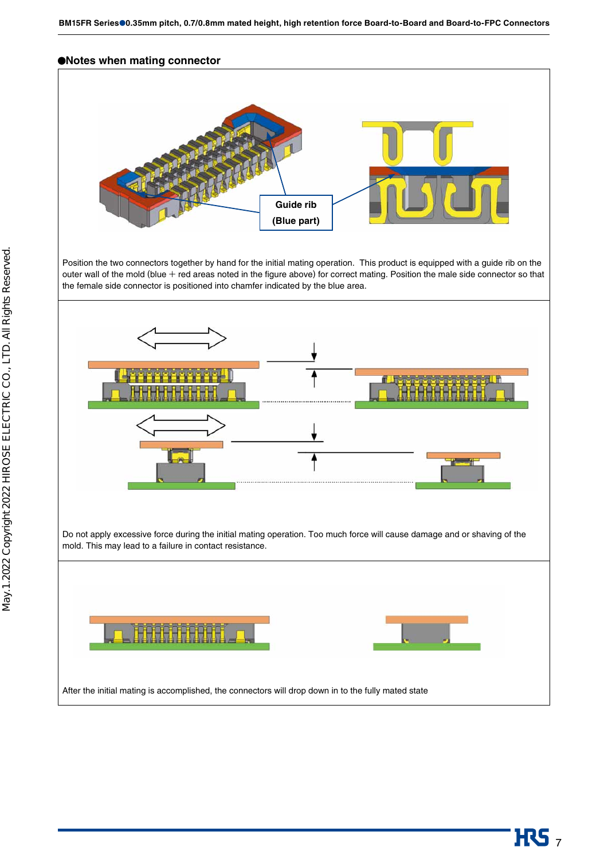#### **Notes when mating connector**



Position the two connectors together by hand for the initial mating operation. This product is equipped with a guide rib on the outer wall of the mold (blue  $+$  red areas noted in the figure above) for correct mating. Position the male side connector so that the female side connector is positioned into chamfer indicated by the blue area.



Do not apply excessive force during the initial mating operation. Too much force will cause damage and or shaving of the mold. This may lead to a failure in contact resistance.